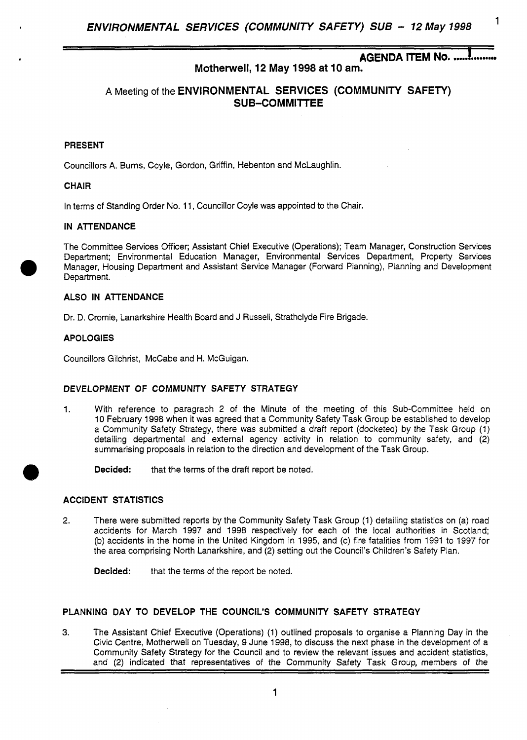# **AGENDA ITEM No. .....!**

# **Motherwell, 12 May 1998 at 10 am.**

# **A** Meeting of the **ENVIRONMENTAL SERVICES (COMMUNITY SAFETY) SUB-COMMITTEE**

### **PRESENT**

.

Councillors A. Burns, Coyle, Gordon, Griffin, Hebenton and McLaughlin.

#### **CHAIR**

In terms *of* Standing Order **No.** 11, Councillor Coyle was appointed to the Chair

#### **IN ATTENDANCE**

The Committee Services Officer; Assistant Chief Executive (Operations); Team Manager, Construction Services Department; Environmental Education Manager, Environmental Services Department, Property Services Manager, Housing Department and Assistant Service Manager (Forward Planning), Planning and Development Department.

# **ALSO IN ATTENDANCE**

Dr. **D.** Cromie, Lanarkshire Health Board and J Russell, Strathclyde Fire Brigade.

#### **APOLOGIES**

Councillors Gilchrist, McCabe and H. McGuigan.

## **DEVELOPMENT OF COMMUNITY SAFETY STRATEGY**

- 1. With reference to paragraph 2 of the Minute of the meeting of this Sub-Committee held on 10 February 1998 when it was agreed that a Community Safety Task Group be established to develop a Community Safety Strategy, there was submitted a draft report (docketed) by the Task Group (1) detailing departmental and external agency activity in relation to community safety, and **(2)**  summarising proposals in relation to the direction and development of the Task Group.
	- **Decided:** that the terms of the draft report be noted.

## **ACCIDENT STATISTICS**

**2.** There were submitted reports by the Community Safety Task Group (1) detailing statistics on (a) road accidents for March 1997 and 1998 respectively for each of the local authorities in Scotland; (b) accidents in the home in the United Kingdom in 1995, and (c) fire fatalities from 1991 to 1997 for the area comprising North Lanarkshire, and **(2)** setting out the Council's Children's Safety Plan.

**Decided:** that the terms of the report be noted.

### **PLANNING DAY TO DEVELOP THE COUNCIL'S COMMUNITY SAFETY STRATEGY**

**3.** The Assistant Chief Executive (Operations) (1) outlined proposals to organise a Planning Day in the Civic Centre, Motherwell on Tuesday, 9 June 1998, to discuss the next phase in the development of a Community Safety Strategy for the Council and to review the relevant issues and accident statistics, and (2) indicated that representatives of the community Safety Task Group, members of the